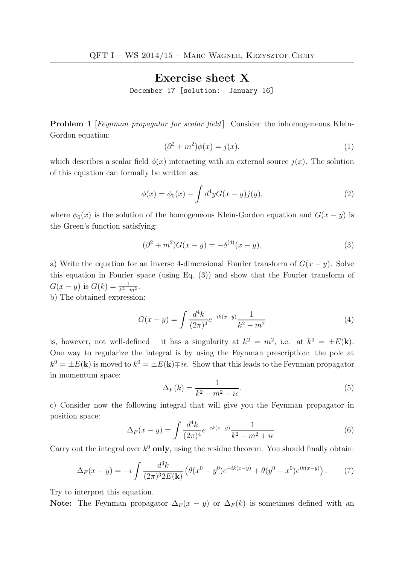## Exercise sheet X

December 17 [solution: January 16]

**Problem 1** [Feynman propagator for scalar field] Consider the inhomogeneous Klein-Gordon equation:

$$
(\partial^2 + m^2)\phi(x) = j(x),\tag{1}
$$

which describes a scalar field  $\phi(x)$  interacting with an external source  $j(x)$ . The solution of this equation can formally be written as:

$$
\phi(x) = \phi_0(x) - \int d^4y G(x - y) j(y), \tag{2}
$$

where  $\phi_0(x)$  is the solution of the homogeneous Klein-Gordon equation and  $G(x - y)$  is the Green's function satisfying:

$$
(\partial^2 + m^2)G(x - y) = -\delta^{(4)}(x - y).
$$
 (3)

a) Write the equation for an inverse 4-dimensional Fourier transform of  $G(x - y)$ . Solve this equation in Fourier space (using Eq. (3)) and show that the Fourier transform of  $G(x - y)$  is  $G(k) = \frac{1}{k^2 - m^2}$ .

b) The obtained expression:

$$
G(x - y) = \int \frac{d^4k}{(2\pi)^4} e^{-ik(x-y)} \frac{1}{k^2 - m^2}
$$
 (4)

is, however, not well-defined – it has a singularity at  $k^2 = m^2$ , i.e. at  $k^0 = \pm E(\mathbf{k})$ . One way to regularize the integral is by using the Feynman prescription: the pole at  $k^0 = \pm E(\mathbf{k})$  is moved to  $k^0 = \pm E(\mathbf{k}) \mp i\epsilon$ . Show that this leads to the Feynman propagator in momentum space:

$$
\Delta_F(k) = \frac{1}{k^2 - m^2 + i\epsilon}.\tag{5}
$$

c) Consider now the following integral that will give you the Feynman propagator in position space:

$$
\Delta_F(x-y) = \int \frac{d^4k}{(2\pi)^4} e^{-ik(x-y)} \frac{1}{k^2 - m^2 + i\epsilon}.
$$
\n(6)

Carry out the integral over  $k^0$  only, using the residue theorem. You should finally obtain:

$$
\Delta_F(x-y) = -i \int \frac{d^3k}{(2\pi)^3 2E(\mathbf{k})} \left( \theta(x^0 - y^0) e^{-ik(x-y)} + \theta(y^0 - x^0) e^{ik(x-y)} \right). \tag{7}
$$

Try to interpret this equation.

Note: The Feynman propagator  $\Delta_F(x-y)$  or  $\Delta_F(k)$  is sometimes defined with an